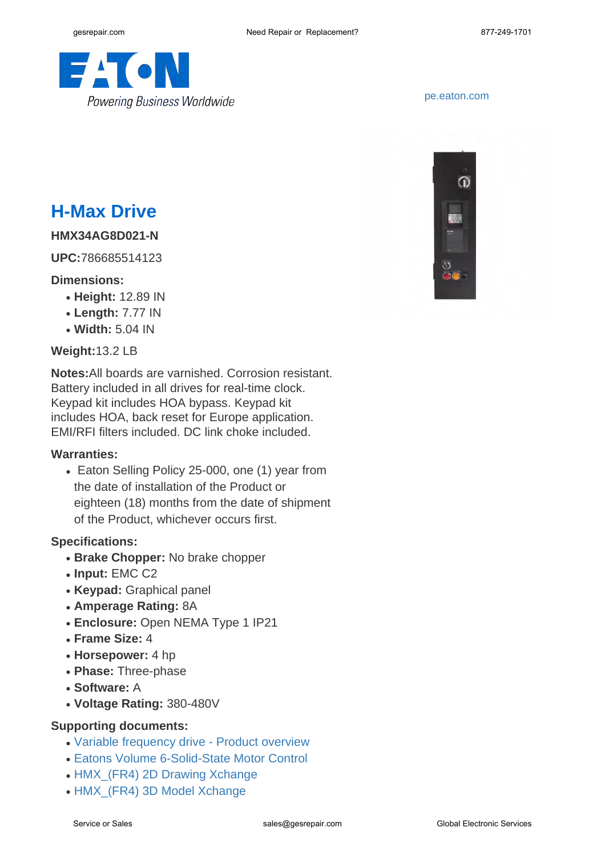

# **H-Max Drive**

## **HMX34AG8D021-N**

**UPC:**786685514123

#### **Dimensions:**

- **Height:** 12.89 IN
- **Length:** 7.77 IN
- **Width:** 5.04 IN

## **Weight:**13.2 LB

**Notes:**All boards are varnished. Corrosion resistant. Battery included in all drives for real-time clock. Keypad kit includes HOA bypass. Keypad kit includes HOA, back reset for Europe application. EMI/RFI filters included. DC link choke included.

#### **Warranties:**

• Eaton Selling Policy 25-000, one (1) year from the date of installation of the Product or eighteen (18) months from the date of shipment of the Product, whichever occurs first.

## **Specifications:**

- Brake Chopper: No brake chopper
- **Input:** EMC C2
- **Keypad:** Graphical panel
- **Amperage Rating:** 8A
- **Enclosure:** Open NEMA Type 1 IP21
- **Frame Size:** 4
- **Horsepower:** 4 hp
- **Phase:** Three-phase
- **Software:** A
- **Voltage Rating:** 380-480V

## **Supporting documents:**

- [Variable frequency drive Product overview](http://www.eaton.com/ecm/idcplg?IdcService=GET_FILE&allowInterrupt=1&RevisionSelectionMethod=LatestReleased&noSaveAs=0&Rendition=Primary&dDocName=BR040002EN)
- [Eatons Volume 6-Solid-State Motor Control](http://www.eaton.com/ecm/idcplg?IdcService=GET_FILE&allowInterrupt=1&RevisionSelectionMethod=LatestReleased&Rendition=Primary&dDocName=CA08100007E)
- HMX (FR4) 2D Drawing Xchange
- [HMX\\_\(FR4\) 3D Model Xchange](http://www.eaton.com/ecm/idcplg?IdcService=GET_FILE&allowInterrupt=1&RevisionSelectionMethod=LatestReleased&noSaveAs=0&Rendition=Primary&dDocName=HMX_(FR4).stp_5900)



<pe.eaton.com>